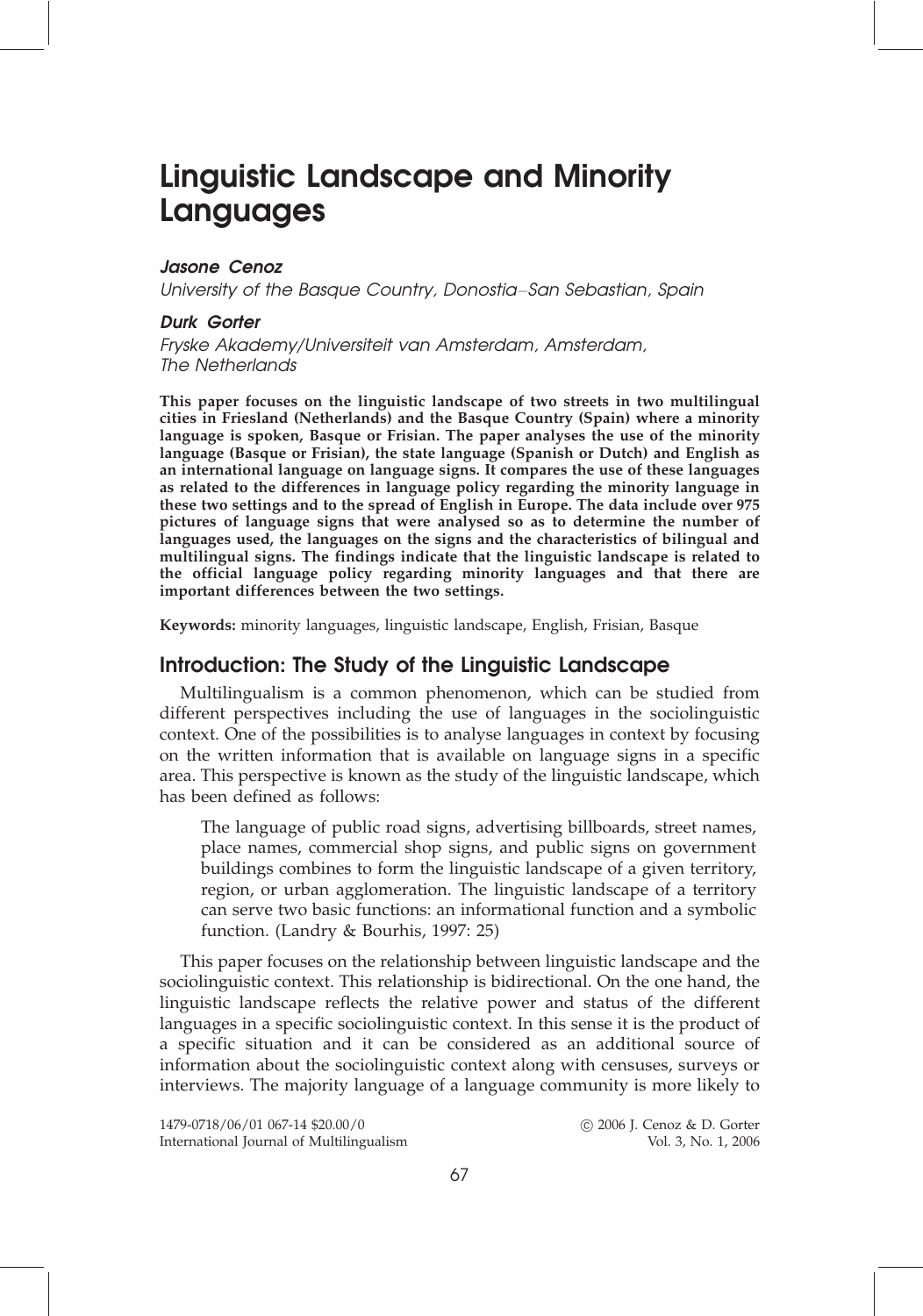# Linguistic Landscape and Minority **Languages**

## Jasone Cenoz

University of the Basque Country, Donostia-San Sebastian, Spain

#### Durk Gorter

Fryske Akademy/Universiteit van Amsterdam, Amsterdam, The Netherlands

This paper focuses on the linguistic landscape of two streets in two multilingual cities in Friesland (Netherlands) and the Basque Country (Spain) where a minority language is spoken, Basque or Frisian. The paper analyses the use of the minority language (Basque or Frisian), the state language (Spanish or Dutch) and English as an international language on language signs. It compares the use of these languages as related to the differences in language policy regarding the minority language in these two settings and to the spread of English in Europe. The data include over 975 pictures of language signs that were analysed so as to determine the number of languages used, the languages on the signs and the characteristics of bilingual and multilingual signs. The findings indicate that the linguistic landscape is related to the official language policy regarding minority languages and that there are important differences between the two settings.

Keywords: minority languages, linguistic landscape, English, Frisian, Basque

## Introduction: The Study of the Linguistic Landscape

Multilingualism is a common phenomenon, which can be studied from different perspectives including the use of languages in the sociolinguistic context. One of the possibilities is to analyse languages in context by focusing on the written information that is available on language signs in a specific area. This perspective is known as the study of the linguistic landscape, which has been defined as follows:

The language of public road signs, advertising billboards, street names, place names, commercial shop signs, and public signs on government buildings combines to form the linguistic landscape of a given territory, region, or urban agglomeration. The linguistic landscape of a territory can serve two basic functions: an informational function and a symbolic function. (Landry & Bourhis, 1997: 25)

This paper focuses on the relationship between linguistic landscape and the sociolinguistic context. This relationship is bidirectional. On the one hand, the linguistic landscape reflects the relative power and status of the different languages in a specific sociolinguistic context. In this sense it is the product of a specific situation and it can be considered as an additional source of information about the sociolinguistic context along with censuses, surveys or interviews. The majority language of a language community is more likely to

1479-0718/06/01 067-14 \$20.00/0 – 2006 (2006 J. Cenoz & D. Gorter International Journal of Multilingualism International Journal of Multilingualism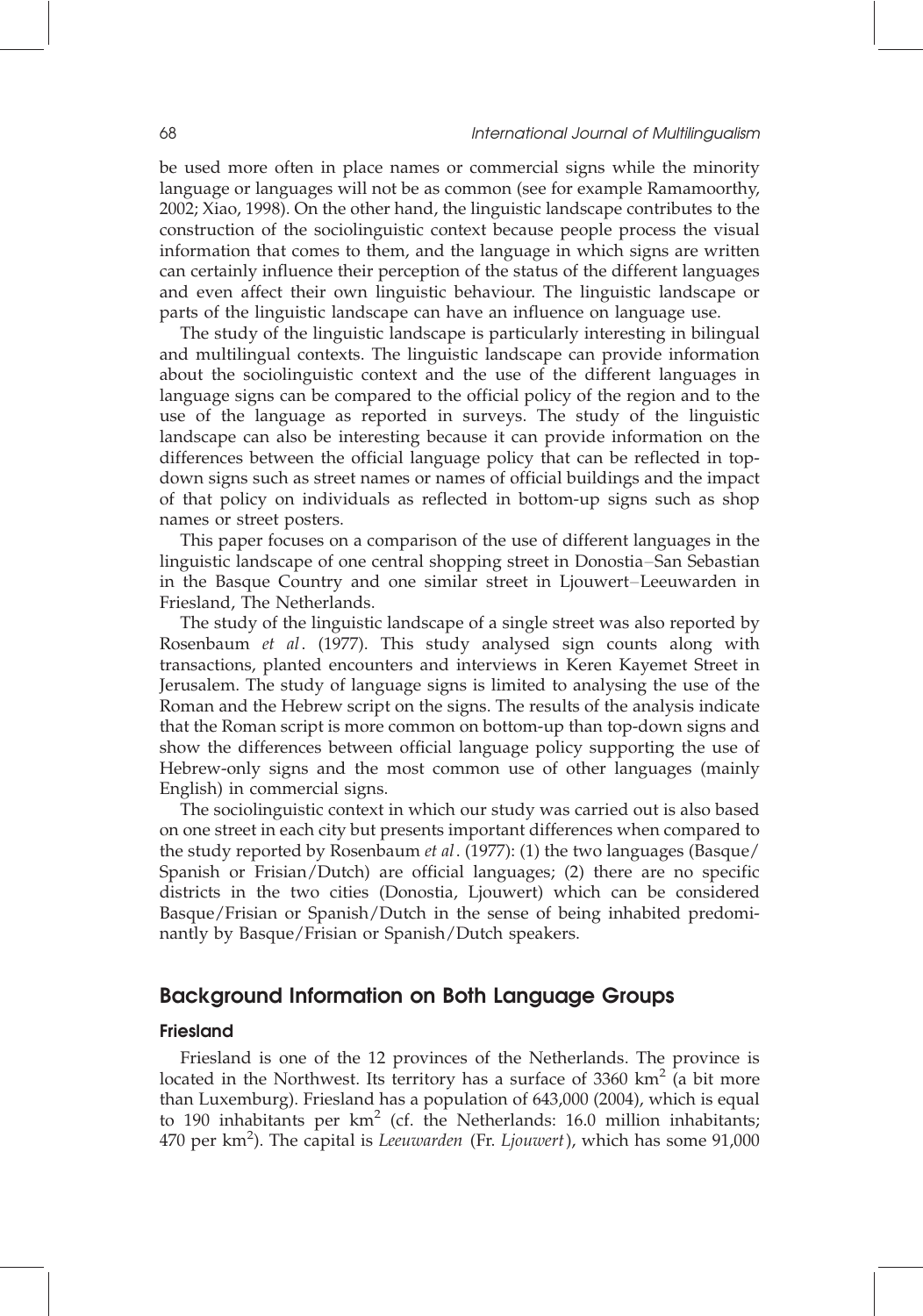be used more often in place names or commercial signs while the minority language or languages will not be as common (see for example Ramamoorthy, 2002; Xiao, 1998). On the other hand, the linguistic landscape contributes to the construction of the sociolinguistic context because people process the visual information that comes to them, and the language in which signs are written can certainly influence their perception of the status of the different languages and even affect their own linguistic behaviour. The linguistic landscape or parts of the linguistic landscape can have an influence on language use.

The study of the linguistic landscape is particularly interesting in bilingual and multilingual contexts. The linguistic landscape can provide information about the sociolinguistic context and the use of the different languages in language signs can be compared to the official policy of the region and to the use of the language as reported in surveys. The study of the linguistic landscape can also be interesting because it can provide information on the differences between the official language policy that can be reflected in topdown signs such as street names or names of official buildings and the impact of that policy on individuals as reflected in bottom-up signs such as shop names or street posters.

This paper focuses on a comparison of the use of different languages in the linguistic landscape of one central shopping street in Donostia–San Sebastian in the Basque Country and one similar street in Ljouwert-Leeuwarden in Friesland, The Netherlands.

The study of the linguistic landscape of a single street was also reported by Rosenbaum et al. (1977). This study analysed sign counts along with transactions, planted encounters and interviews in Keren Kayemet Street in Jerusalem. The study of language signs is limited to analysing the use of the Roman and the Hebrew script on the signs. The results of the analysis indicate that the Roman script is more common on bottom-up than top-down signs and show the differences between official language policy supporting the use of Hebrew-only signs and the most common use of other languages (mainly English) in commercial signs.

The sociolinguistic context in which our study was carried out is also based on one street in each city but presents important differences when compared to the study reported by Rosenbaum et al. (1977): (1) the two languages (Basque/ Spanish or Frisian/Dutch) are official languages; (2) there are no specific districts in the two cities (Donostia, Ljouwert) which can be considered Basque/Frisian or Spanish/Dutch in the sense of being inhabited predominantly by Basque/Frisian or Spanish/Dutch speakers.

# Background Information on Both Language Groups

#### Friesland

Friesland is one of the 12 provinces of the Netherlands. The province is located in the Northwest. Its territory has a surface of  $3360 \text{ km}^2$  (a bit more than Luxemburg). Friesland has a population of 643,000 (2004), which is equal to 190 inhabitants per  $km^2$  (cf. the Netherlands: 16.0 million inhabitants; 470 per km<sup>2</sup>). The capital is Leeuwarden (Fr. Ljouwert), which has some 91,000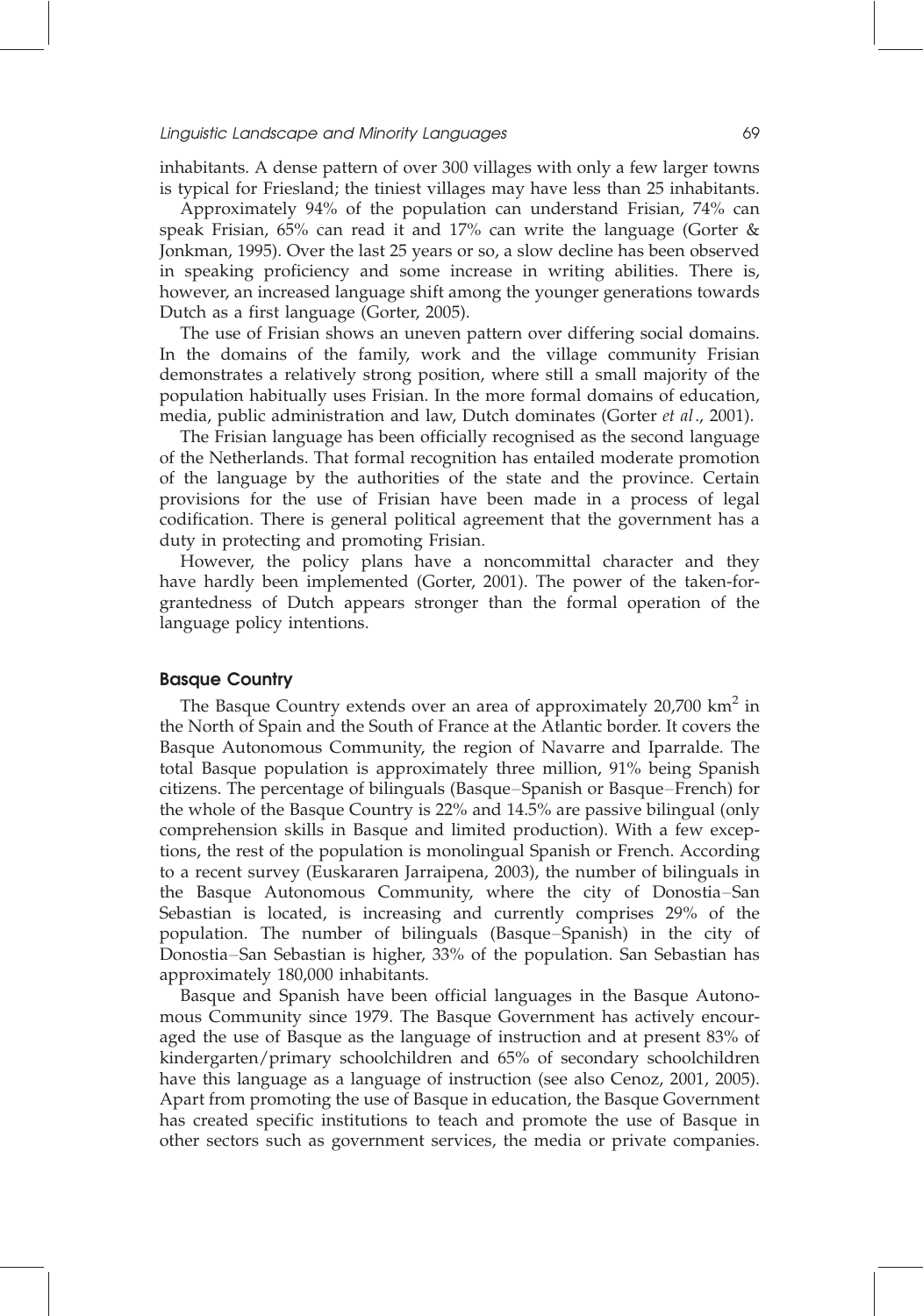#### Linguistic Landscape and Minority Languages 69

inhabitants. A dense pattern of over 300 villages with only a few larger towns is typical for Friesland; the tiniest villages may have less than 25 inhabitants.

Approximately 94% of the population can understand Frisian, 74% can speak Frisian, 65% can read it and 17% can write the language (Gorter  $\&$ Jonkman, 1995). Over the last 25 years or so, a slow decline has been observed in speaking proficiency and some increase in writing abilities. There is, however, an increased language shift among the younger generations towards Dutch as a first language (Gorter, 2005).

The use of Frisian shows an uneven pattern over differing social domains. In the domains of the family, work and the village community Frisian demonstrates a relatively strong position, where still a small majority of the population habitually uses Frisian. In the more formal domains of education, media, public administration and law, Dutch dominates (Gorter *et al.*, 2001).

The Frisian language has been officially recognised as the second language of the Netherlands. That formal recognition has entailed moderate promotion of the language by the authorities of the state and the province. Certain provisions for the use of Frisian have been made in a process of legal codification. There is general political agreement that the government has a duty in protecting and promoting Frisian.

However, the policy plans have a noncommittal character and they have hardly been implemented (Gorter, 2001). The power of the taken-forgrantedness of Dutch appears stronger than the formal operation of the language policy intentions.

### Basque Country

The Basque Country extends over an area of approximately  $20,700 \text{ km}^2$  in the North of Spain and the South of France at the Atlantic border. It covers the Basque Autonomous Community, the region of Navarre and Iparralde. The total Basque population is approximately three million, 91% being Spanish citizens. The percentage of bilinguals (Basque-Spanish or Basque-French) for the whole of the Basque Country is 22% and 14.5% are passive bilingual (only comprehension skills in Basque and limited production). With a few exceptions, the rest of the population is monolingual Spanish or French. According to a recent survey (Euskararen Jarraipena, 2003), the number of bilinguals in the Basque Autonomous Community, where the city of Donostia-San Sebastian is located, is increasing and currently comprises 29% of the population. The number of bilinguals (Basque–Spanish) in the city of Donostia–San Sebastian is higher, 33% of the population. San Sebastian has approximately 180,000 inhabitants.

Basque and Spanish have been official languages in the Basque Autonomous Community since 1979. The Basque Government has actively encouraged the use of Basque as the language of instruction and at present 83% of kindergarten/primary schoolchildren and 65% of secondary schoolchildren have this language as a language of instruction (see also Cenoz, 2001, 2005). Apart from promoting the use of Basque in education, the Basque Government has created specific institutions to teach and promote the use of Basque in other sectors such as government services, the media or private companies.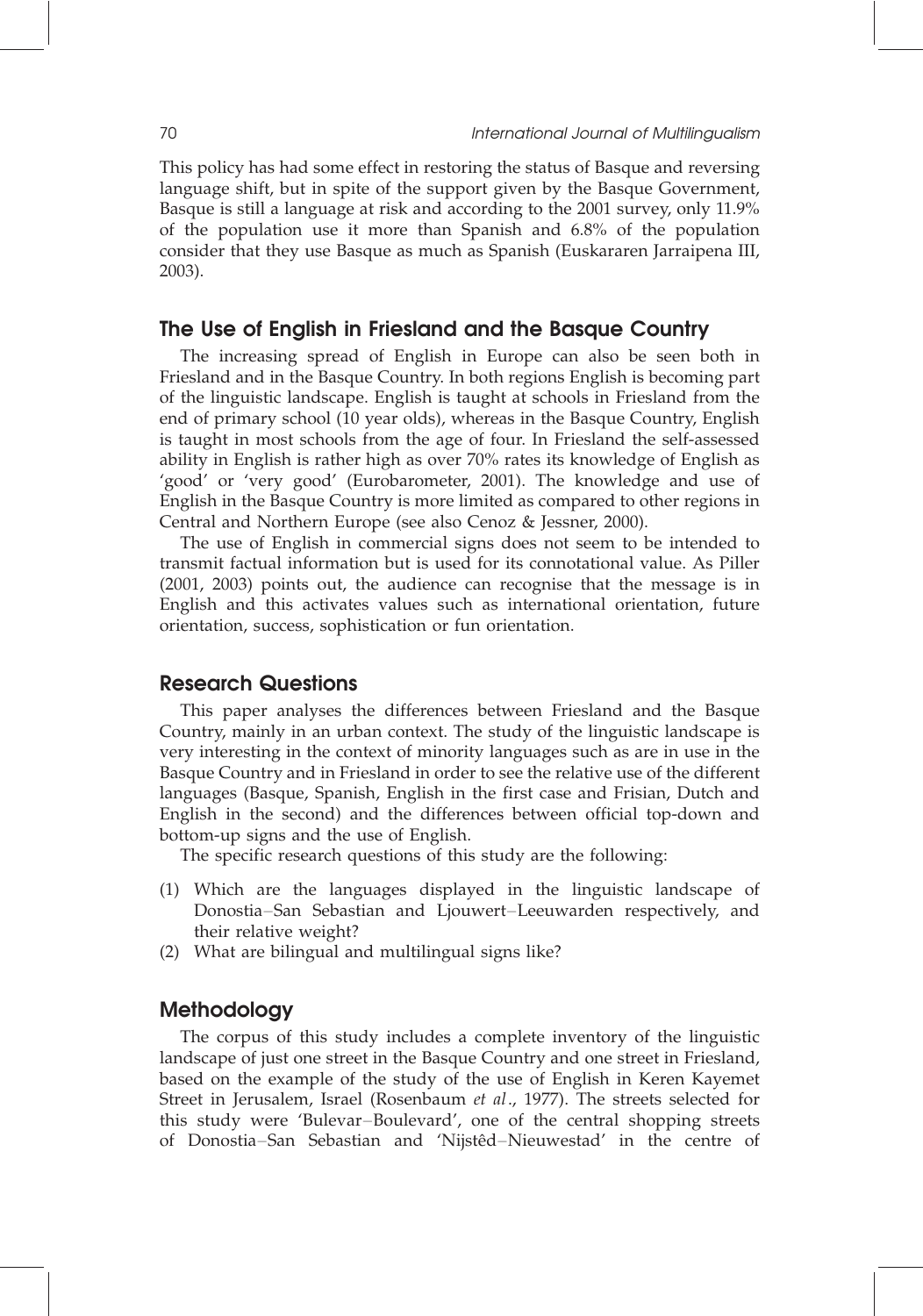This policy has had some effect in restoring the status of Basque and reversing language shift, but in spite of the support given by the Basque Government, Basque is still a language at risk and according to the 2001 survey, only 11.9% of the population use it more than Spanish and 6.8% of the population consider that they use Basque as much as Spanish (Euskararen Jarraipena III, 2003).

## The Use of English in Friesland and the Basque Country

The increasing spread of English in Europe can also be seen both in Friesland and in the Basque Country. In both regions English is becoming part of the linguistic landscape. English is taught at schools in Friesland from the end of primary school (10 year olds), whereas in the Basque Country, English is taught in most schools from the age of four. In Friesland the self-assessed ability in English is rather high as over 70% rates its knowledge of English as 'good' or 'very good' (Eurobarometer, 2001). The knowledge and use of English in the Basque Country is more limited as compared to other regions in Central and Northern Europe (see also Cenoz & Jessner, 2000).

The use of English in commercial signs does not seem to be intended to transmit factual information but is used for its connotational value. As Piller (2001, 2003) points out, the audience can recognise that the message is in English and this activates values such as international orientation, future orientation, success, sophistication or fun orientation.

# Research Questions

This paper analyses the differences between Friesland and the Basque Country, mainly in an urban context. The study of the linguistic landscape is very interesting in the context of minority languages such as are in use in the Basque Country and in Friesland in order to see the relative use of the different languages (Basque, Spanish, English in the first case and Frisian, Dutch and English in the second) and the differences between official top-down and bottom-up signs and the use of English.

The specific research questions of this study are the following:

- (1) Which are the languages displayed in the linguistic landscape of Donostia-San Sebastian and Ljouwert-Leeuwarden respectively, and their relative weight?
- (2) What are bilingual and multilingual signs like?

# **Methodology**

The corpus of this study includes a complete inventory of the linguistic landscape of just one street in the Basque Country and one street in Friesland, based on the example of the study of the use of English in Keren Kayemet Street in Jerusalem, Israel (Rosenbaum et al., 1977). The streets selected for this study were 'Bulevar-Boulevard', one of the central shopping streets of Donostia-San Sebastian and 'Nijstêd-Nieuwestad' in the centre of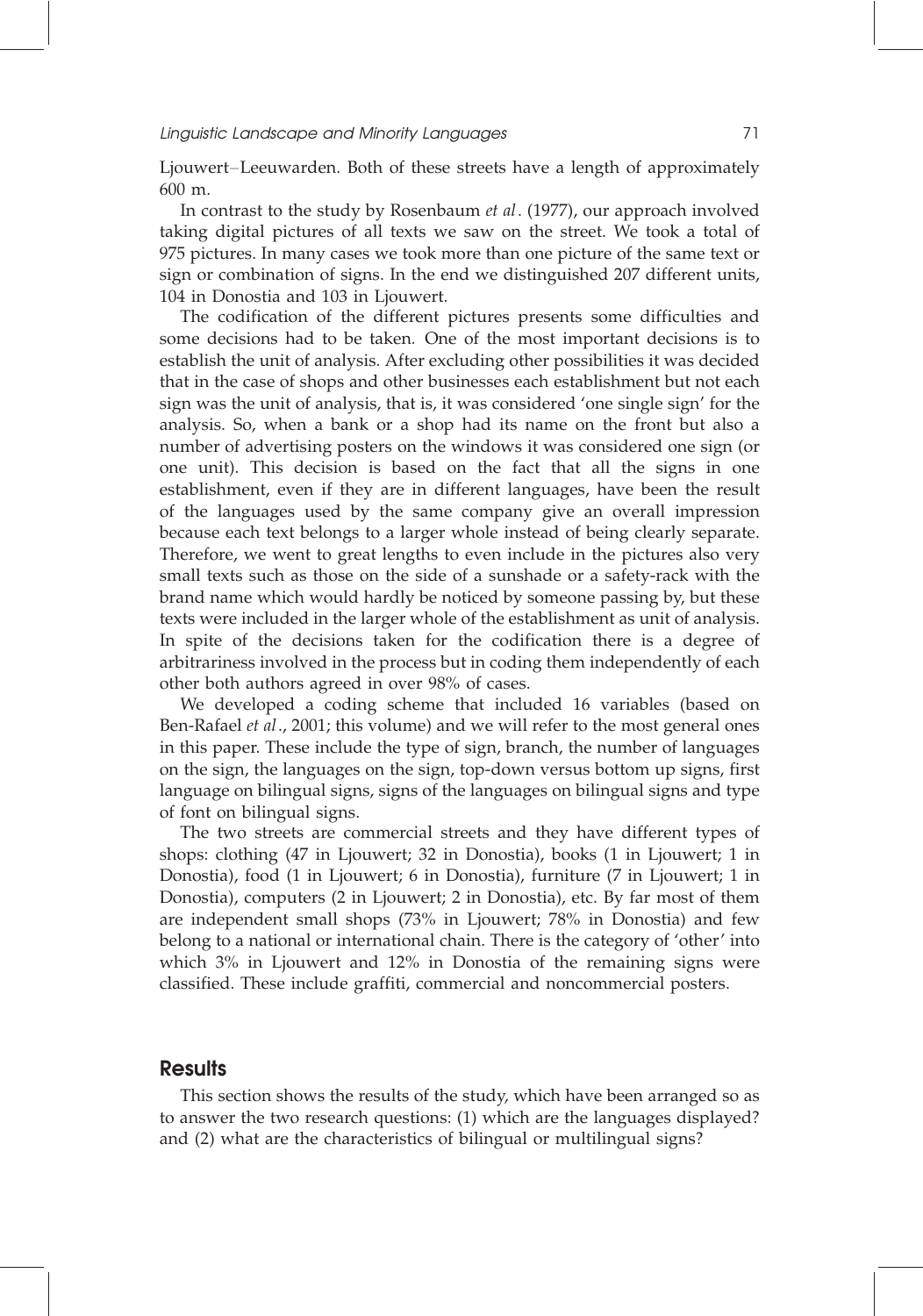Ljouwert-Leeuwarden. Both of these streets have a length of approximately 600 m.

In contrast to the study by Rosenbaum et al. (1977), our approach involved taking digital pictures of all texts we saw on the street. We took a total of 975 pictures. In many cases we took more than one picture of the same text or sign or combination of signs. In the end we distinguished 207 different units, 104 in Donostia and 103 in Ljouwert.

The codification of the different pictures presents some difficulties and some decisions had to be taken. One of the most important decisions is to establish the unit of analysis. After excluding other possibilities it was decided that in the case of shops and other businesses each establishment but not each sign was the unit of analysis, that is, it was considered 'one single sign' for the analysis. So, when a bank or a shop had its name on the front but also a number of advertising posters on the windows it was considered one sign (or one unit). This decision is based on the fact that all the signs in one establishment, even if they are in different languages, have been the result of the languages used by the same company give an overall impression because each text belongs to a larger whole instead of being clearly separate. Therefore, we went to great lengths to even include in the pictures also very small texts such as those on the side of a sunshade or a safety-rack with the brand name which would hardly be noticed by someone passing by, but these texts were included in the larger whole of the establishment as unit of analysis. In spite of the decisions taken for the codification there is a degree of arbitrariness involved in the process but in coding them independently of each other both authors agreed in over 98% of cases.

We developed a coding scheme that included 16 variables (based on Ben-Rafael et al., 2001; this volume) and we will refer to the most general ones in this paper. These include the type of sign, branch, the number of languages on the sign, the languages on the sign, top-down versus bottom up signs, first language on bilingual signs, signs of the languages on bilingual signs and type of font on bilingual signs.

The two streets are commercial streets and they have different types of shops: clothing (47 in Ljouwert; 32 in Donostia), books (1 in Ljouwert; 1 in Donostia), food (1 in Ljouwert; 6 in Donostia), furniture (7 in Ljouwert; 1 in Donostia), computers (2 in Ljouwert; 2 in Donostia), etc. By far most of them are independent small shops (73% in Ljouwert; 78% in Donostia) and few belong to a national or international chain. There is the category of 'other' into which 3% in Ljouwert and 12% in Donostia of the remaining signs were classified. These include graffiti, commercial and noncommercial posters.

# **Results**

This section shows the results of the study, which have been arranged so as to answer the two research questions: (1) which are the languages displayed? and (2) what are the characteristics of bilingual or multilingual signs?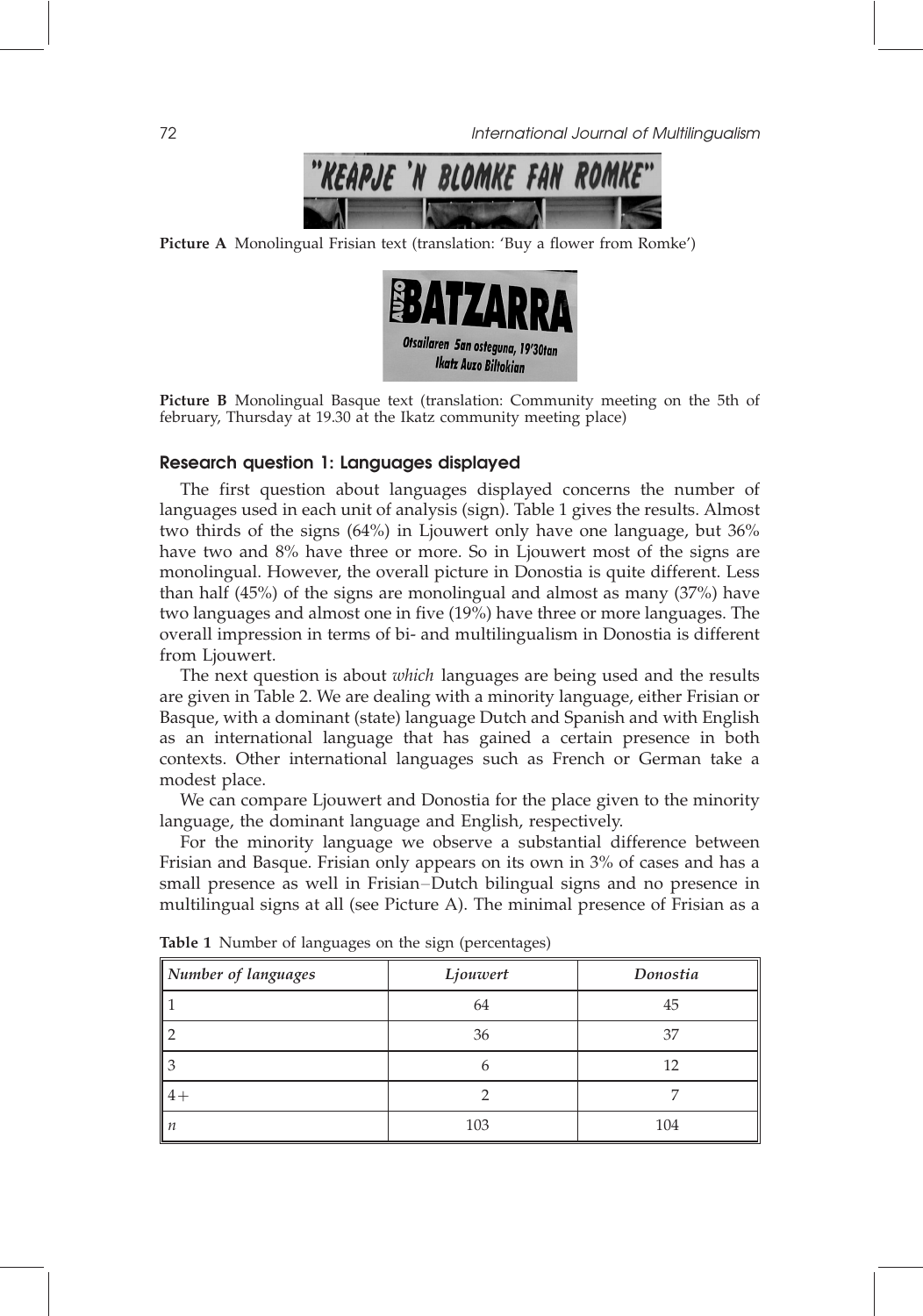

Picture A Monolingual Frisian text (translation: 'Buy a flower from Romke')



Picture B Monolingual Basque text (translation: Community meeting on the 5th of february, Thursday at 19.30 at the Ikatz community meeting place)

#### Research question 1: Languages displayed

The first question about languages displayed concerns the number of languages used in each unit of analysis (sign). Table 1 gives the results. Almost two thirds of the signs (64%) in Ljouwert only have one language, but 36% have two and 8% have three or more. So in Ljouwert most of the signs are monolingual. However, the overall picture in Donostia is quite different. Less than half (45%) of the signs are monolingual and almost as many (37%) have two languages and almost one in five (19%) have three or more languages. The overall impression in terms of bi- and multilingualism in Donostia is different from Ljouwert.

The next question is about which languages are being used and the results are given in Table 2. We are dealing with a minority language, either Frisian or Basque, with a dominant (state) language Dutch and Spanish and with English as an international language that has gained a certain presence in both contexts. Other international languages such as French or German take a modest place.

We can compare Ljouwert and Donostia for the place given to the minority language, the dominant language and English, respectively.

For the minority language we observe a substantial difference between Frisian and Basque. Frisian only appears on its own in 3% of cases and has a small presence as well in Frisian-Dutch bilingual signs and no presence in multilingual signs at all (see Picture A). The minimal presence of Frisian as a

| Number of languages | Ljouwert | Donostia |
|---------------------|----------|----------|
|                     | 64       | 45       |
|                     | 36       | 37       |
|                     | 6        | 12       |
|                     |          |          |
| $\mathsf{I}_n$      | 103      | 104      |

Table 1 Number of languages on the sign (percentages)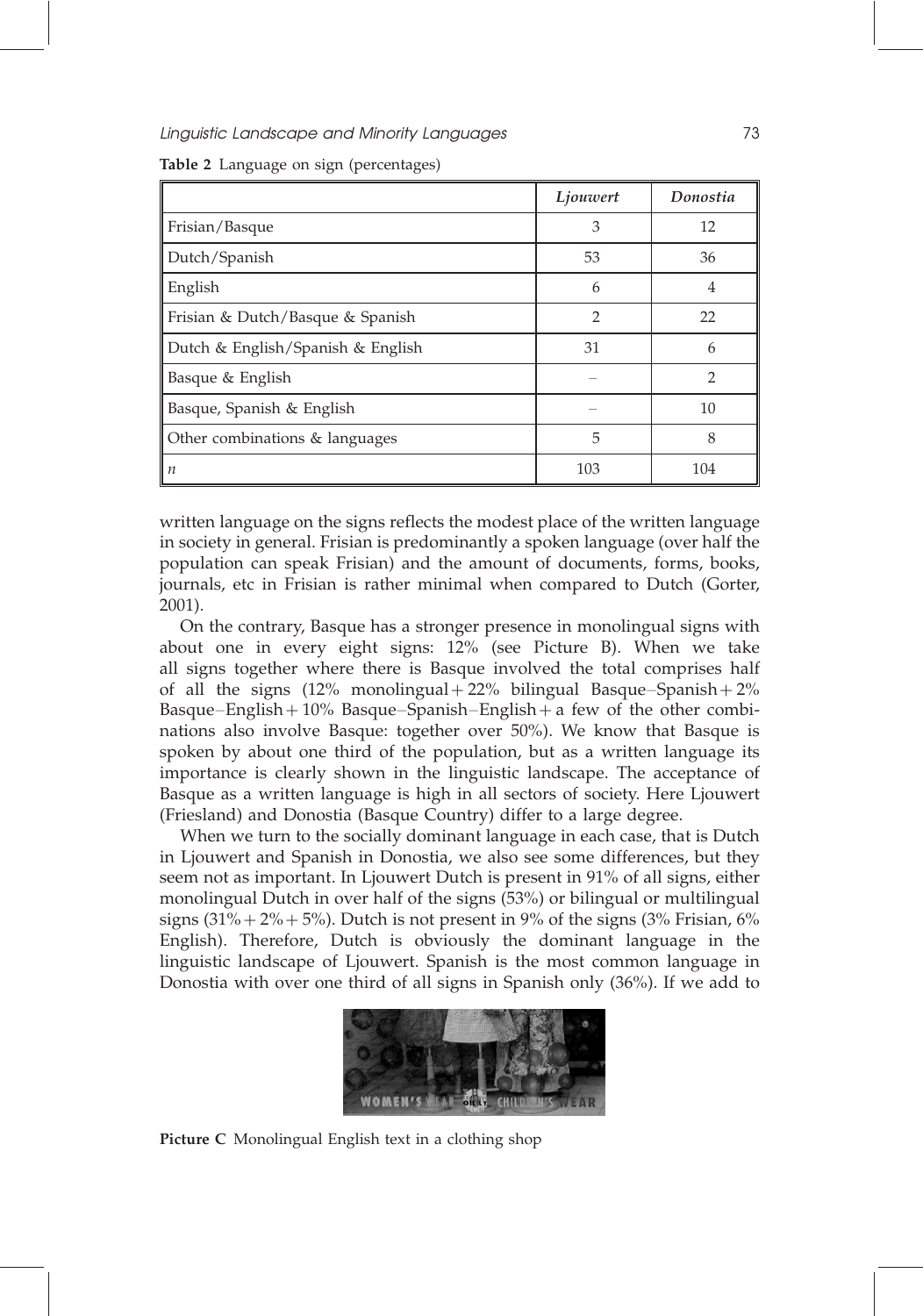|                                   | Ljouwert       | Donostia |
|-----------------------------------|----------------|----------|
| Frisian/Basque                    | 3              | 12       |
| Dutch/Spanish                     | 53             | 36       |
| English                           | 6              | 4        |
| Frisian & Dutch/Basque & Spanish  | $\overline{2}$ | 22       |
| Dutch & English/Spanish & English | 31             | 6        |
| Basque & English                  |                | 2        |
| Basque, Spanish & English         |                | 10       |
| Other combinations & languages    | 5              | 8        |
| $\boldsymbol{n}$                  | 103            | 104      |

Table 2 Language on sign (percentages)

written language on the signs reflects the modest place of the written language in society in general. Frisian is predominantly a spoken language (over half the population can speak Frisian) and the amount of documents, forms, books, journals, etc in Frisian is rather minimal when compared to Dutch (Gorter, 2001).

On the contrary, Basque has a stronger presence in monolingual signs with about one in every eight signs: 12% (see Picture B). When we take all signs together where there is Basque involved the total comprises half of all the signs (12% monolingual+22% bilingual Basque–Spanish+2% Basque–English + 10% Basque–Spanish–English + a few of the other combinations also involve Basque: together over 50%). We know that Basque is spoken by about one third of the population, but as a written language its importance is clearly shown in the linguistic landscape. The acceptance of Basque as a written language is high in all sectors of society. Here Ljouwert (Friesland) and Donostia (Basque Country) differ to a large degree.

When we turn to the socially dominant language in each case, that is Dutch in Ljouwert and Spanish in Donostia, we also see some differences, but they seem not as important. In Ljouwert Dutch is present in 91% of all signs, either monolingual Dutch in over half of the signs (53%) or bilingual or multilingual signs (31% + 2% + 5%). Dutch is not present in 9% of the signs (3% Frisian, 6% English). Therefore, Dutch is obviously the dominant language in the linguistic landscape of Ljouwert. Spanish is the most common language in Donostia with over one third of all signs in Spanish only (36%). If we add to



Picture C Monolingual English text in a clothing shop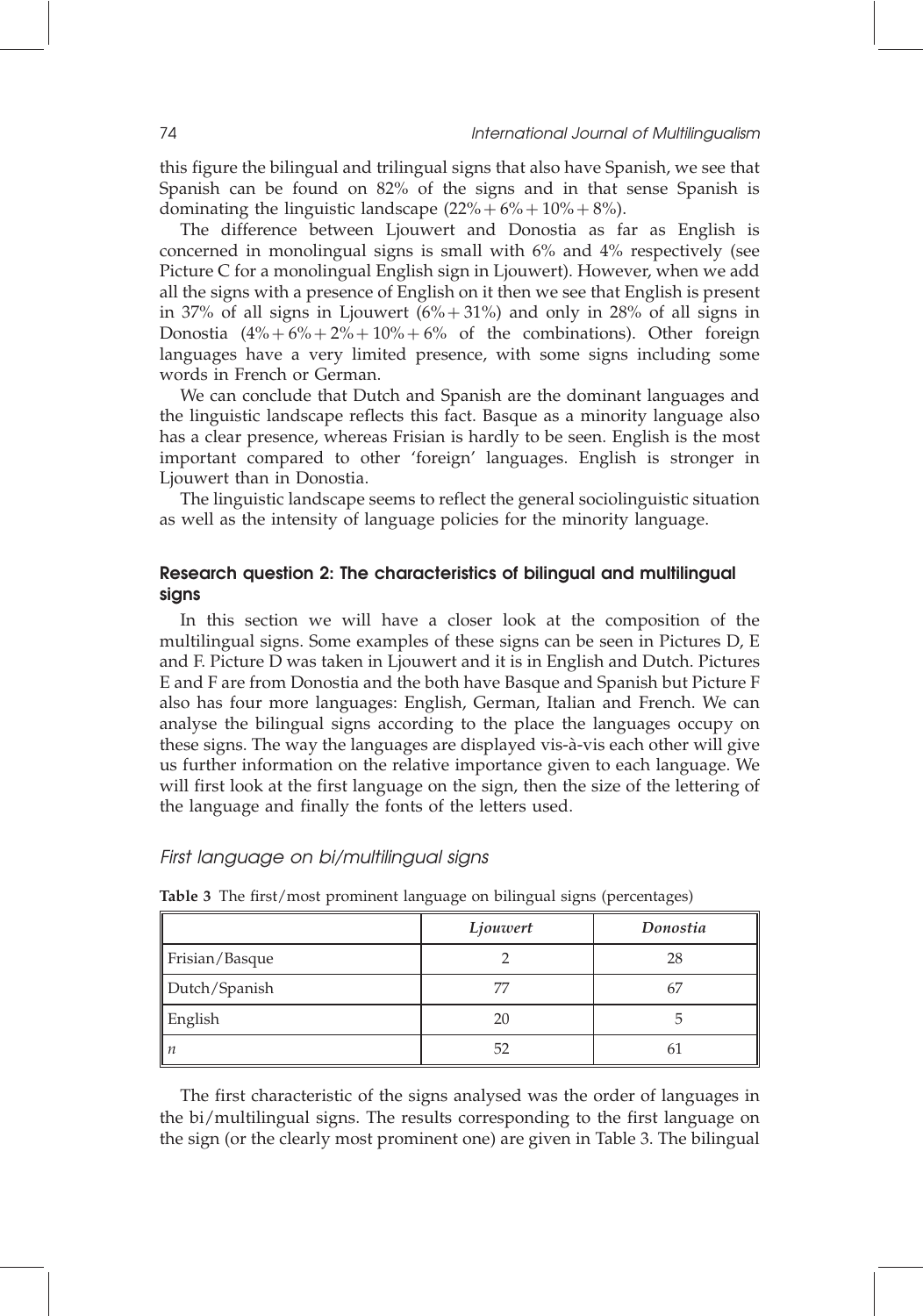this figure the bilingual and trilingual signs that also have Spanish, we see that Spanish can be found on 82% of the signs and in that sense Spanish is dominating the linguistic landscape  $(22\% + 6\% + 10\% + 8\%)$ .

The difference between Ljouwert and Donostia as far as English is concerned in monolingual signs is small with 6% and 4% respectively (see Picture C for a monolingual English sign in Ljouwert). However, when we add all the signs with a presence of English on it then we see that English is present in 37% of all signs in Ljouwert (6%-/31%) and only in 28% of all signs in Donostia  $(4\% + 6\% + 2\% + 10\% + 6\%$  of the combinations). Other foreign languages have a very limited presence, with some signs including some words in French or German.

We can conclude that Dutch and Spanish are the dominant languages and the linguistic landscape reflects this fact. Basque as a minority language also has a clear presence, whereas Frisian is hardly to be seen. English is the most important compared to other 'foreign' languages. English is stronger in Ljouwert than in Donostia.

The linguistic landscape seems to reflect the general sociolinguistic situation as well as the intensity of language policies for the minority language.

# Research question 2: The characteristics of bilingual and multilingual signs

In this section we will have a closer look at the composition of the multilingual signs. Some examples of these signs can be seen in Pictures D, E and F. Picture D was taken in Ljouwert and it is in English and Dutch. Pictures E and F are from Donostia and the both have Basque and Spanish but Picture F also has four more languages: English, German, Italian and French. We can analyse the bilingual signs according to the place the languages occupy on these signs. The way the languages are displayed vis-à-vis each other will give us further information on the relative importance given to each language. We will first look at the first language on the sign, then the size of the lettering of the language and finally the fonts of the letters used.

|                  | Ljouwert | Donostia |
|------------------|----------|----------|
| Frisian/Basque   |          | 28       |
| Dutch/Spanish    | 77       | 67       |
| English          | 20       |          |
| $\boldsymbol{n}$ | 52       |          |

#### First language on bi/multilingual signs

Table 3 The first/most prominent language on bilingual signs (percentages)

The first characteristic of the signs analysed was the order of languages in the bi/multilingual signs. The results corresponding to the first language on

the sign (or the clearly most prominent one) are given in Table 3. The bilingual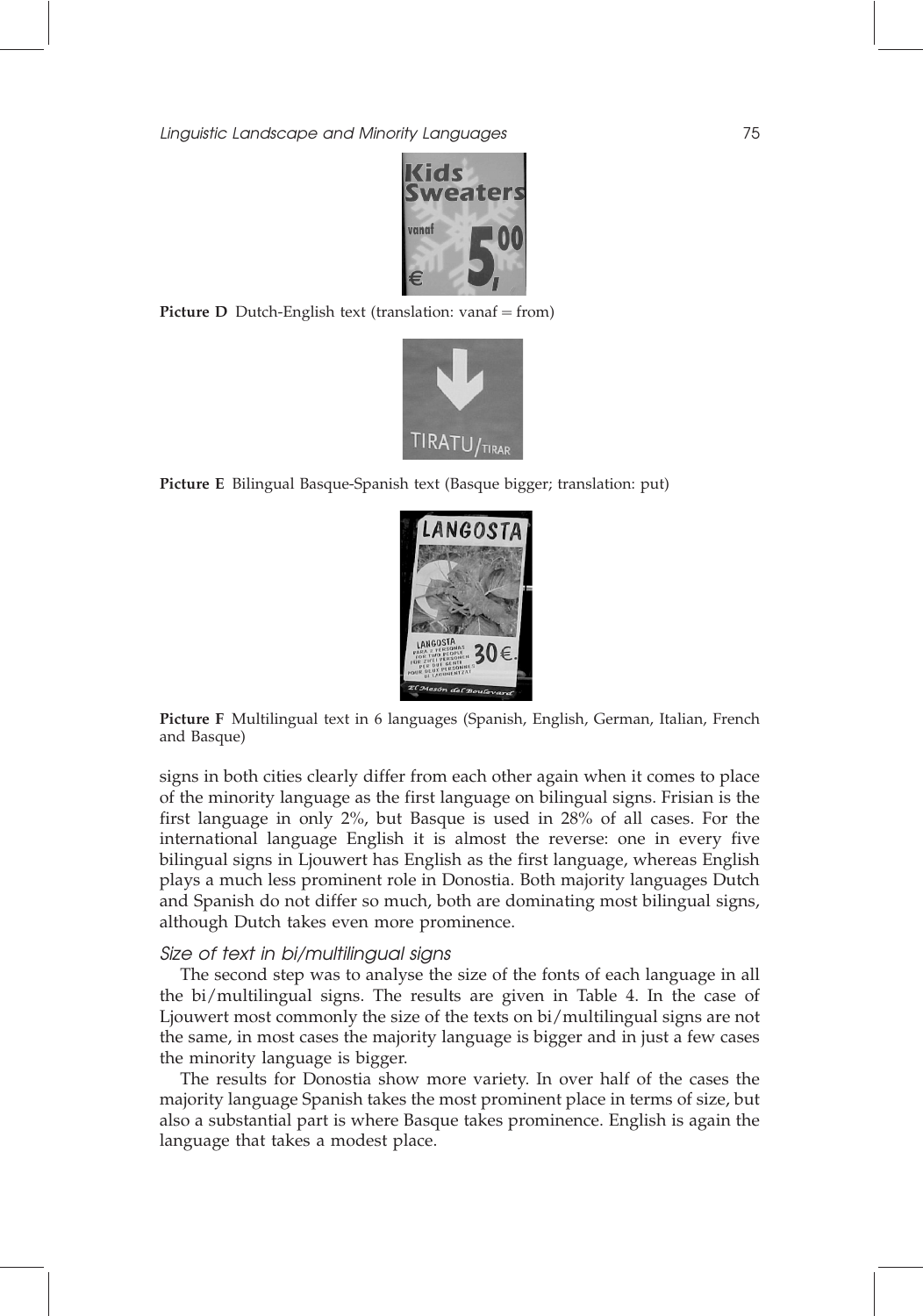Linguistic Landscape and Minority Languages 75



Picture D Dutch-English text (translation: vanaf = from)



Picture E Bilingual Basque-Spanish text (Basque bigger; translation: put)



Picture F Multilingual text in 6 languages (Spanish, English, German, Italian, French and Basque)

signs in both cities clearly differ from each other again when it comes to place of the minority language as the first language on bilingual signs. Frisian is the first language in only 2%, but Basque is used in 28% of all cases. For the international language English it is almost the reverse: one in every five bilingual signs in Ljouwert has English as the first language, whereas English plays a much less prominent role in Donostia. Both majority languages Dutch and Spanish do not differ so much, both are dominating most bilingual signs, although Dutch takes even more prominence.

#### Size of text in bi/multilingual signs

The second step was to analyse the size of the fonts of each language in all the bi/multilingual signs. The results are given in Table 4. In the case of Ljouwert most commonly the size of the texts on bi/multilingual signs are not the same, in most cases the majority language is bigger and in just a few cases the minority language is bigger.

The results for Donostia show more variety. In over half of the cases the majority language Spanish takes the most prominent place in terms of size, but also a substantial part is where Basque takes prominence. English is again the language that takes a modest place.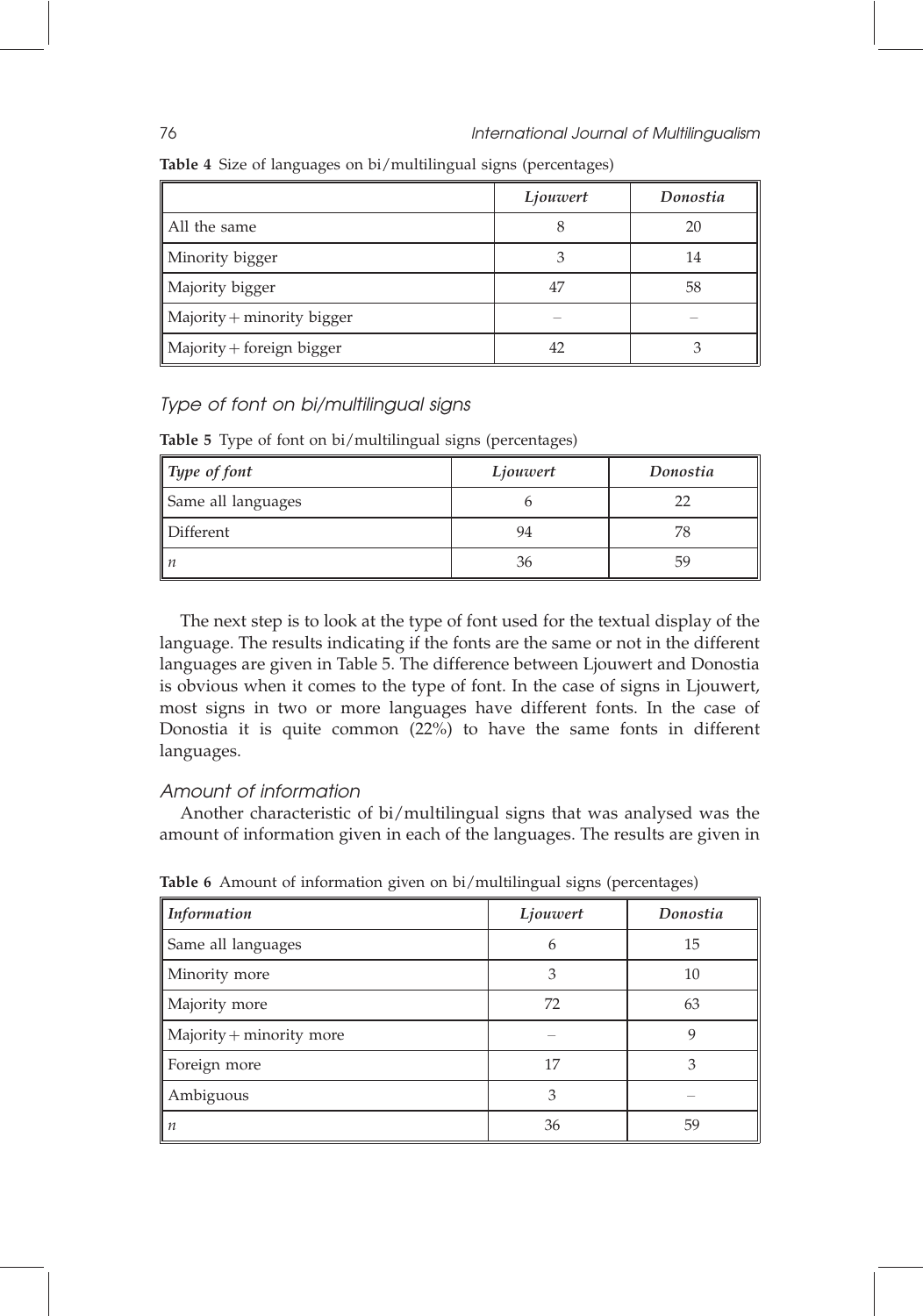|                                           | Ljouwert | Donostia |
|-------------------------------------------|----------|----------|
| All the same                              |          | 20       |
| Minority bigger                           |          | 14       |
| Majority bigger                           | 47       | 58       |
| $\blacksquare$ Majority + minority bigger |          |          |
| $\Delta$ Majority + foreign bigger        |          |          |

Table 4 Size of languages on bi/multilingual signs (percentages)

# Type of font on bi/multilingual signs

Table 5 Type of font on bi/multilingual signs (percentages)

| Type of font       | Ljouwert | Donostia |
|--------------------|----------|----------|
| Same all languages |          |          |
| Different          | 94       | 78       |
| II n               | 36       | 59       |

The next step is to look at the type of font used for the textual display of the language. The results indicating if the fonts are the same or not in the different languages are given in Table 5. The difference between Ljouwert and Donostia is obvious when it comes to the type of font. In the case of signs in Ljouwert, most signs in two or more languages have different fonts. In the case of Donostia it is quite common (22%) to have the same fonts in different languages.

## Amount of information

Another characteristic of bi/multilingual signs that was analysed was the amount of information given in each of the languages. The results are given in

| Information              | Ljouwert | Donostia |
|--------------------------|----------|----------|
| Same all languages       | 6        | 15       |
| Minority more            | 3        | 10       |
| Majority more            | 72       | 63       |
| Majority + minority more |          | 9        |
| Foreign more             | 17       | З        |
| Ambiguous                | 3        |          |
| $\boldsymbol{n}$         | 36       | 59       |

Table 6 Amount of information given on bi/multilingual signs (percentages)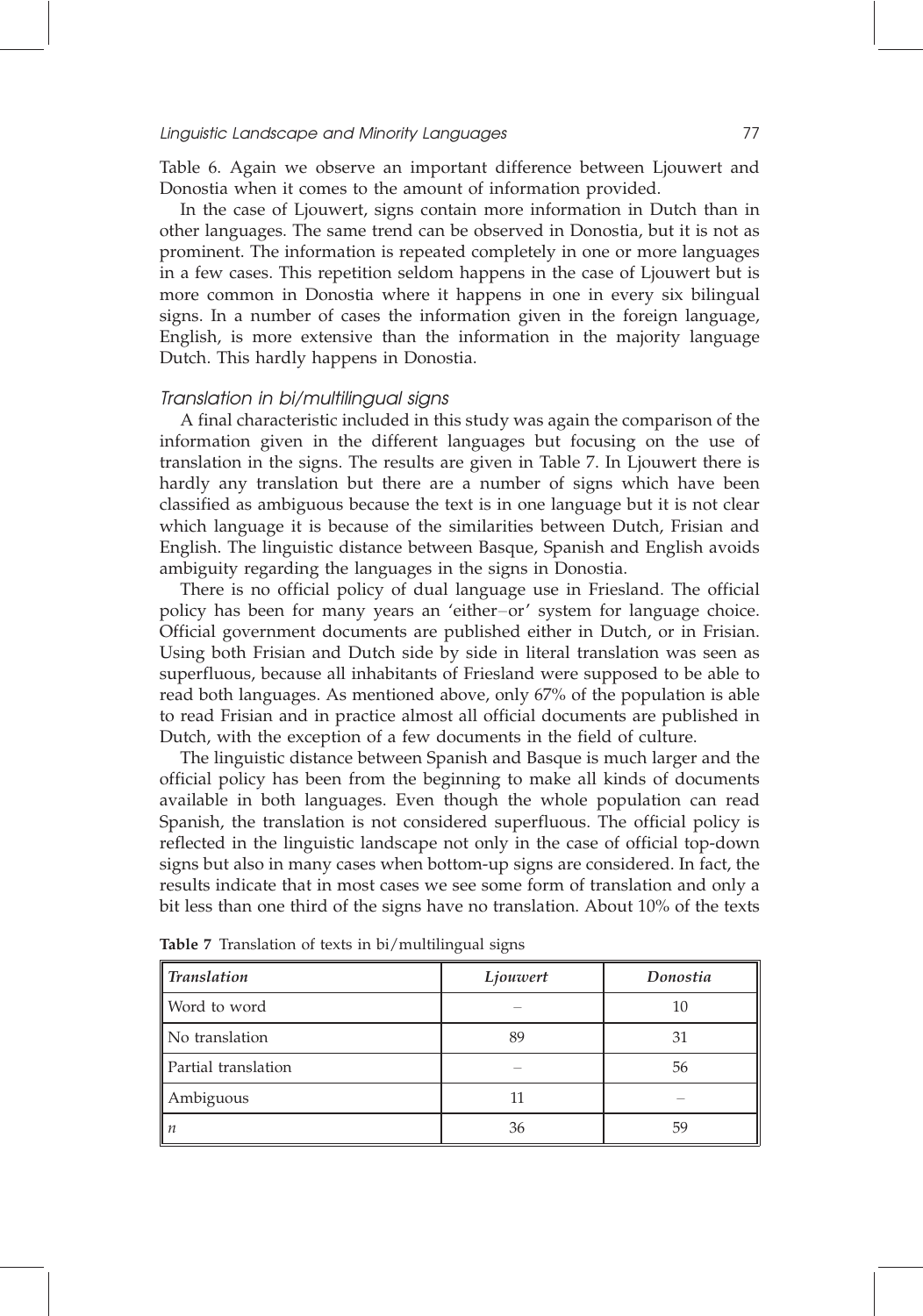Table 6. Again we observe an important difference between Ljouwert and Donostia when it comes to the amount of information provided.

In the case of Ljouwert, signs contain more information in Dutch than in other languages. The same trend can be observed in Donostia, but it is not as prominent. The information is repeated completely in one or more languages in a few cases. This repetition seldom happens in the case of Ljouwert but is more common in Donostia where it happens in one in every six bilingual signs. In a number of cases the information given in the foreign language, English, is more extensive than the information in the majority language Dutch. This hardly happens in Donostia.

#### Translation in bi/multilingual signs

A final characteristic included in this study was again the comparison of the information given in the different languages but focusing on the use of translation in the signs. The results are given in Table 7. In Ljouwert there is hardly any translation but there are a number of signs which have been classified as ambiguous because the text is in one language but it is not clear which language it is because of the similarities between Dutch, Frisian and English. The linguistic distance between Basque, Spanish and English avoids ambiguity regarding the languages in the signs in Donostia.

There is no official policy of dual language use in Friesland. The official policy has been for many years an 'either-or' system for language choice. Official government documents are published either in Dutch, or in Frisian. Using both Frisian and Dutch side by side in literal translation was seen as superfluous, because all inhabitants of Friesland were supposed to be able to read both languages. As mentioned above, only 67% of the population is able to read Frisian and in practice almost all official documents are published in Dutch, with the exception of a few documents in the field of culture.

The linguistic distance between Spanish and Basque is much larger and the official policy has been from the beginning to make all kinds of documents available in both languages. Even though the whole population can read Spanish, the translation is not considered superfluous. The official policy is reflected in the linguistic landscape not only in the case of official top-down signs but also in many cases when bottom-up signs are considered. In fact, the results indicate that in most cases we see some form of translation and only a bit less than one third of the signs have no translation. About 10% of the texts

| <i>Translation</i>  | Ljouwert                 | Donostia |
|---------------------|--------------------------|----------|
| Word to word        |                          | 10       |
| No translation      | 89                       | 31       |
| Partial translation | $\overline{\phantom{a}}$ | 56       |
| Ambiguous           | 11                       |          |
| $\vert n \vert$     | 36                       | 59       |

Table 7 Translation of texts in bi/multilingual signs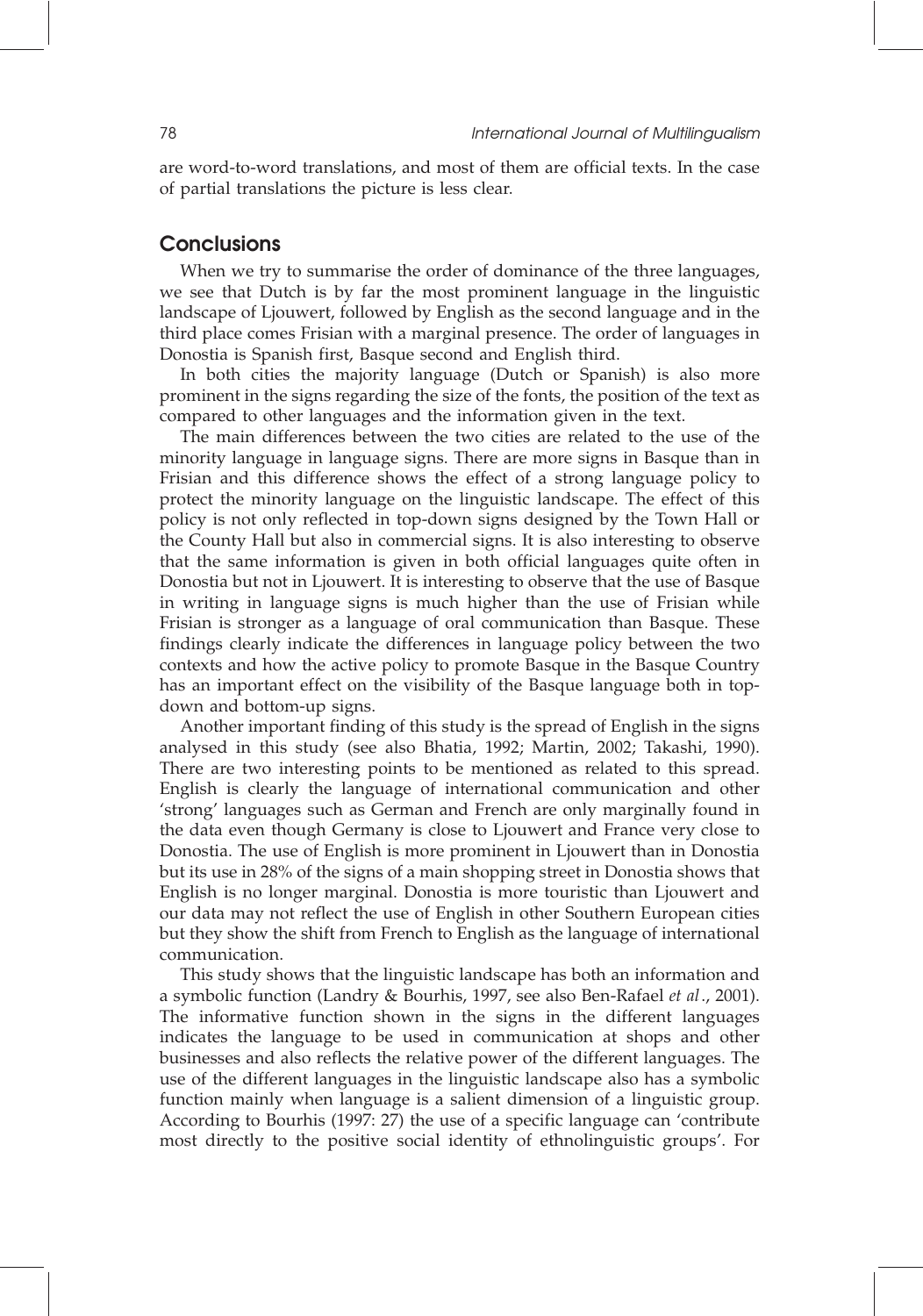are word-to-word translations, and most of them are official texts. In the case of partial translations the picture is less clear.

## Conclusions

When we try to summarise the order of dominance of the three languages, we see that Dutch is by far the most prominent language in the linguistic landscape of Ljouwert, followed by English as the second language and in the third place comes Frisian with a marginal presence. The order of languages in Donostia is Spanish first, Basque second and English third.

In both cities the majority language (Dutch or Spanish) is also more prominent in the signs regarding the size of the fonts, the position of the text as compared to other languages and the information given in the text.

The main differences between the two cities are related to the use of the minority language in language signs. There are more signs in Basque than in Frisian and this difference shows the effect of a strong language policy to protect the minority language on the linguistic landscape. The effect of this policy is not only reflected in top-down signs designed by the Town Hall or the County Hall but also in commercial signs. It is also interesting to observe that the same information is given in both official languages quite often in Donostia but not in Ljouwert. It is interesting to observe that the use of Basque in writing in language signs is much higher than the use of Frisian while Frisian is stronger as a language of oral communication than Basque. These findings clearly indicate the differences in language policy between the two contexts and how the active policy to promote Basque in the Basque Country has an important effect on the visibility of the Basque language both in topdown and bottom-up signs.

Another important finding of this study is the spread of English in the signs analysed in this study (see also Bhatia, 1992; Martin, 2002; Takashi, 1990). There are two interesting points to be mentioned as related to this spread. English is clearly the language of international communication and other 'strong' languages such as German and French are only marginally found in the data even though Germany is close to Ljouwert and France very close to Donostia. The use of English is more prominent in Ljouwert than in Donostia but its use in 28% of the signs of a main shopping street in Donostia shows that English is no longer marginal. Donostia is more touristic than Ljouwert and our data may not reflect the use of English in other Southern European cities but they show the shift from French to English as the language of international communication.

This study shows that the linguistic landscape has both an information and a symbolic function (Landry & Bourhis, 1997, see also Ben-Rafael et al., 2001). The informative function shown in the signs in the different languages indicates the language to be used in communication at shops and other businesses and also reflects the relative power of the different languages. The use of the different languages in the linguistic landscape also has a symbolic function mainly when language is a salient dimension of a linguistic group. According to Bourhis (1997: 27) the use of a specific language can 'contribute most directly to the positive social identity of ethnolinguistic groups'. For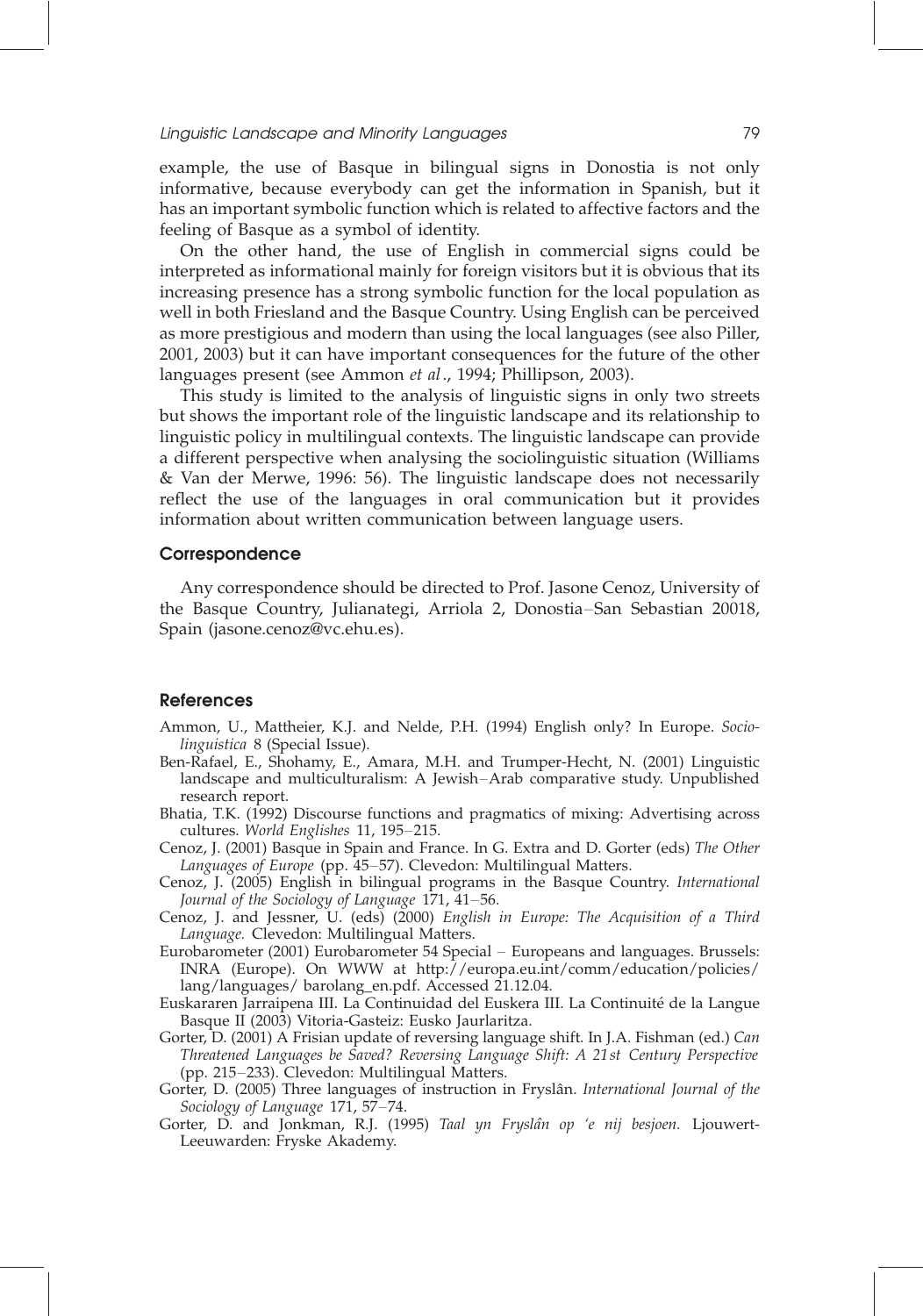example, the use of Basque in bilingual signs in Donostia is not only informative, because everybody can get the information in Spanish, but it has an important symbolic function which is related to affective factors and the feeling of Basque as a symbol of identity.

On the other hand, the use of English in commercial signs could be interpreted as informational mainly for foreign visitors but it is obvious that its increasing presence has a strong symbolic function for the local population as well in both Friesland and the Basque Country. Using English can be perceived as more prestigious and modern than using the local languages (see also Piller, 2001, 2003) but it can have important consequences for the future of the other languages present (see Ammon et al., 1994; Phillipson, 2003).

This study is limited to the analysis of linguistic signs in only two streets but shows the important role of the linguistic landscape and its relationship to linguistic policy in multilingual contexts. The linguistic landscape can provide a different perspective when analysing the sociolinguistic situation (Williams & Van der Merwe, 1996: 56). The linguistic landscape does not necessarily reflect the use of the languages in oral communication but it provides information about written communication between language users.

#### **Correspondence**

Any correspondence should be directed to Prof. Jasone Cenoz, University of the Basque Country, Julianategi, Arriola 2, Donostia-San Sebastian 20018, Spain (jasone.cenoz@vc.ehu.es).

#### References

- Ammon, U., Mattheier, K.J. and Nelde, P.H. (1994) English only? In Europe. Sociolinguistica 8 (Special Issue).
- Ben-Rafael, E., Shohamy, E., Amara, M.H. and Trumper-Hecht, N. (2001) Linguistic landscape and multiculturalism: A Jewish-Arab comparative study. Unpublished research report.
- Bhatia, T.K. (1992) Discourse functions and pragmatics of mixing: Advertising across cultures. World Englishes 11, 195-215.
- Cenoz, J. (2001) Basque in Spain and France. In G. Extra and D. Gorter (eds) The Other Languages of Europe (pp. 45-57). Clevedon: Multilingual Matters.
- Cenoz, J. (2005) English in bilingual programs in the Basque Country. International Journal of the Sociology of Language  $171, 41-56$ .
- Cenoz, J. and Jessner, U. (eds) (2000) English in Europe: The Acquisition of a Third Language. Clevedon: Multilingual Matters.
- Eurobarometer (2001) Eurobarometer 54 Special Europeans and languages. Brussels: INRA (Europe). On WWW at http://europa.eu.int/comm/education/policies/ lang/languages/ barolang\_en.pdf. Accessed 21.12.04.
- Euskararen Jarraipena III. La Continuidad del Euskera III. La Continuite´ de la Langue Basque II (2003) Vitoria-Gasteiz: Eusko Jaurlaritza.
- Gorter, D. (2001) A Frisian update of reversing language shift. In J.A. Fishman (ed.) Can Threatened Languages be Saved? Reversing Language Shift: A 21st Century Perspective (pp. 215-233). Clevedon: Multilingual Matters.
- Gorter, D. (2005) Three languages of instruction in Fryslân. International Journal of the Sociology of Language 171, 57-74.
- Gorter, D. and Jonkman, R.J. (1995) Taal yn Fryslân op 'e nij besjoen. Ljouwert-Leeuwarden: Fryske Akademy.